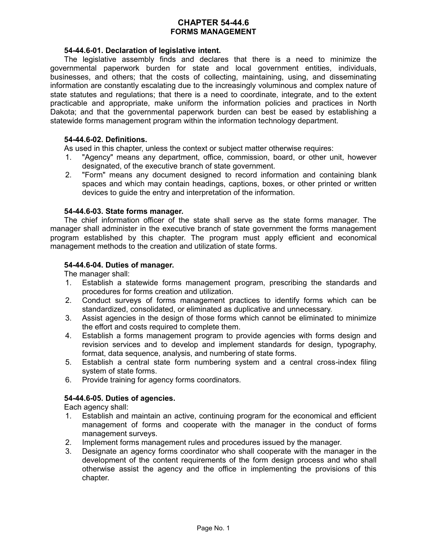# **CHAPTER 54-44.6 FORMS MANAGEMENT**

### **54-44.6-01. Declaration of legislative intent.**

The legislative assembly finds and declares that there is a need to minimize the governmental paperwork burden for state and local government entities, individuals, businesses, and others; that the costs of collecting, maintaining, using, and disseminating information are constantly escalating due to the increasingly voluminous and complex nature of state statutes and regulations; that there is a need to coordinate, integrate, and to the extent practicable and appropriate, make uniform the information policies and practices in North Dakota; and that the governmental paperwork burden can best be eased by establishing a statewide forms management program within the information technology department.

## **54-44.6-02. Definitions.**

As used in this chapter, unless the context or subject matter otherwise requires:

- 1. "Agency" means any department, office, commission, board, or other unit, however designated, of the executive branch of state government.
- 2. "Form" means any document designed to record information and containing blank spaces and which may contain headings, captions, boxes, or other printed or written devices to guide the entry and interpretation of the information.

#### **54-44.6-03. State forms manager.**

The chief information officer of the state shall serve as the state forms manager. The manager shall administer in the executive branch of state government the forms management program established by this chapter. The program must apply efficient and economical management methods to the creation and utilization of state forms.

#### **54-44.6-04. Duties of manager.**

The manager shall:

- 1. Establish a statewide forms management program, prescribing the standards and procedures for forms creation and utilization.
- 2. Conduct surveys of forms management practices to identify forms which can be standardized, consolidated, or eliminated as duplicative and unnecessary.
- 3. Assist agencies in the design of those forms which cannot be eliminated to minimize the effort and costs required to complete them.
- 4. Establish a forms management program to provide agencies with forms design and revision services and to develop and implement standards for design, typography, format, data sequence, analysis, and numbering of state forms.
- 5. Establish a central state form numbering system and a central cross-index filing system of state forms.
- 6. Provide training for agency forms coordinators.

# **54-44.6-05. Duties of agencies.**

Each agency shall:

- 1. Establish and maintain an active, continuing program for the economical and efficient management of forms and cooperate with the manager in the conduct of forms management surveys.
- 2. Implement forms management rules and procedures issued by the manager.
- 3. Designate an agency forms coordinator who shall cooperate with the manager in the development of the content requirements of the form design process and who shall otherwise assist the agency and the office in implementing the provisions of this chapter.